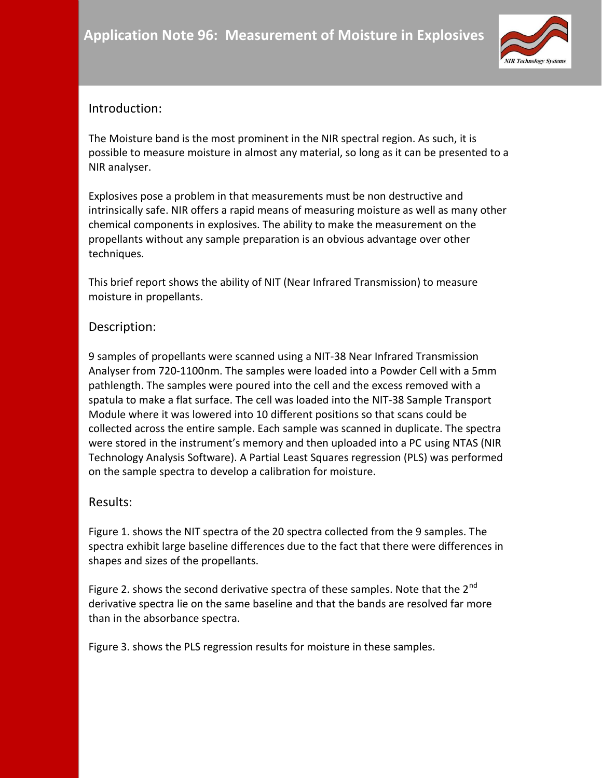

## Introduction:

The Moisture band is the most prominent in the NIR spectral region. As such, it is possible to measure moisture in almost any material, so long as it can be presented to a NIR analyser.

Explosives pose a problem in that measurements must be non destructive and intrinsically safe. NIR offers a rapid means of measuring moisture as well as many other chemical components in explosives. The ability to make the measurement on the propellants without any sample preparation is an obvious advantage over other techniques.

This brief report shows the ability of NIT (Near Infrared Transmission) to measure moisture in propellants.

## Description:

9 samples of propellants were scanned using a NIT-38 Near Infrared Transmission Analyser from 720-1100nm. The samples were loaded into a Powder Cell with a 5mm pathlength. The samples were poured into the cell and the excess removed with a spatula to make a flat surface. The cell was loaded into the NIT-38 Sample Transport Module where it was lowered into 10 different positions so that scans could be collected across the entire sample. Each sample was scanned in duplicate. The spectra were stored in the instrument's memory and then uploaded into a PC using NTAS (NIR Technology Analysis Software). A Partial Least Squares regression (PLS) was performed on the sample spectra to develop a calibration for moisture.

## Results:

Figure 1. shows the NIT spectra of the 20 spectra collected from the 9 samples. The spectra exhibit large baseline differences due to the fact that there were differences in shapes and sizes of the propellants.

Figure 2. shows the second derivative spectra of these samples. Note that the  $2^{nd}$ derivative spectra lie on the same baseline and that the bands are resolved far more than in the absorbance spectra.

Figure 3. shows the PLS regression results for moisture in these samples.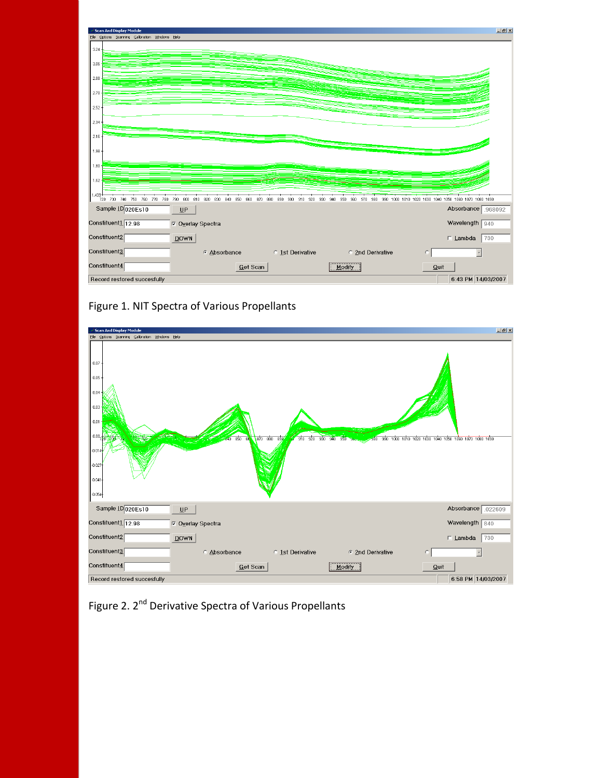

Figure 1. NIT Spectra of Various Propellants



Figure 2. 2<sup>nd</sup> Derivative Spectra of Various Propellants